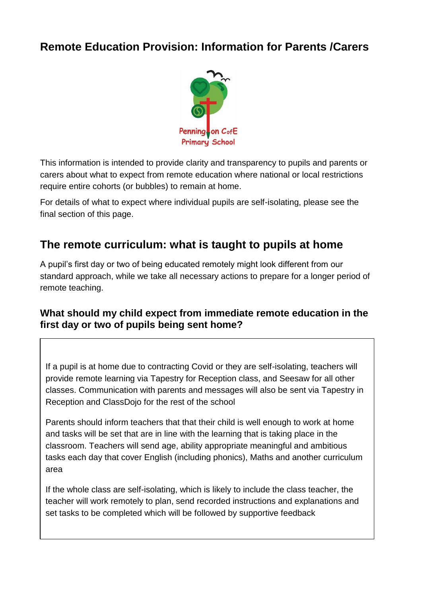## **Remote Education Provision: Information for Parents /Carers**



This information is intended to provide clarity and transparency to pupils and parents or carers about what to expect from remote education where national or local restrictions require entire cohorts (or bubbles) to remain at home.

For details of what to expect where individual pupils are self-isolating, please see the final section of this page.

## **The remote curriculum: what is taught to pupils at home**

A pupil's first day or two of being educated remotely might look different from our standard approach, while we take all necessary actions to prepare for a longer period of remote teaching.

### **What should my child expect from immediate remote education in the first day or two of pupils being sent home?**

If a pupil is at home due to contracting Covid or they are self-isolating, teachers will provide remote learning via Tapestry for Reception class, and Seesaw for all other classes. Communication with parents and messages will also be sent via Tapestry in Reception and ClassDojo for the rest of the school

Parents should inform teachers that that their child is well enough to work at home and tasks will be set that are in line with the learning that is taking place in the classroom. Teachers will send age, ability appropriate meaningful and ambitious tasks each day that cover English (including phonics), Maths and another curriculum area

If the whole class are self-isolating, which is likely to include the class teacher, the teacher will work remotely to plan, send recorded instructions and explanations and set tasks to be completed which will be followed by supportive feedback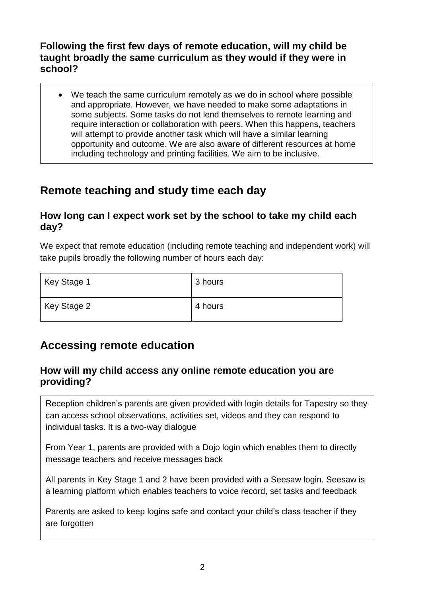## **Following the first few days of remote education, will my child be taught broadly the same curriculum as they would if they were in school?**

• We teach the same curriculum remotely as we do in school where possible and appropriate. However, we have needed to make some adaptations in some subjects. Some tasks do not lend themselves to remote learning and require interaction or collaboration with peers. When this happens, teachers will attempt to provide another task which will have a similar learning opportunity and outcome. We are also aware of different resources at home including technology and printing facilities. We aim to be inclusive.

# **Remote teaching and study time each day**

#### **How long can I expect work set by the school to take my child each day?**

We expect that remote education (including remote teaching and independent work) will take pupils broadly the following number of hours each day:

| Key Stage 1 | 3 hours |
|-------------|---------|
| Key Stage 2 | 4 hours |

## **Accessing remote education**

## **How will my child access any online remote education you are providing?**

Reception children's parents are given provided with login details for Tapestry so they can access school observations, activities set, videos and they can respond to individual tasks. It is a two-way dialogue

From Year 1, parents are provided with a Dojo login which enables them to directly message teachers and receive messages back

All parents in Key Stage 1 and 2 have been provided with a Seesaw login. Seesaw is a learning platform which enables teachers to voice record, set tasks and feedback

Parents are asked to keep logins safe and contact your child's class teacher if they are forgotten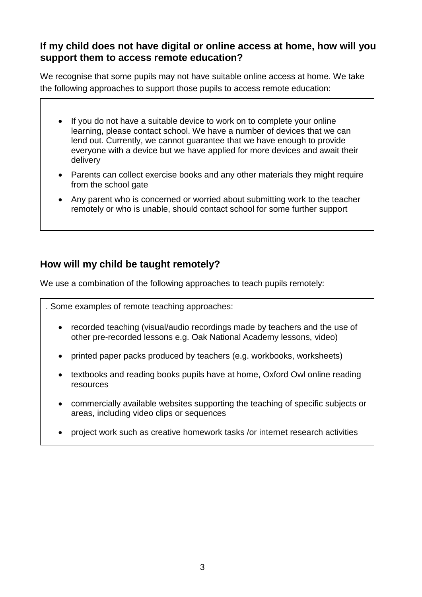#### **If my child does not have digital or online access at home, how will you support them to access remote education?**

We recognise that some pupils may not have suitable online access at home. We take the following approaches to support those pupils to access remote education:

- If you do not have a suitable device to work on to complete your online learning, please contact school. We have a number of devices that we can lend out. Currently, we cannot guarantee that we have enough to provide everyone with a device but we have applied for more devices and await their delivery
- Parents can collect exercise books and any other materials they might require from the school gate
- Any parent who is concerned or worried about submitting work to the teacher remotely or who is unable, should contact school for some further support

## **How will my child be taught remotely?**

We use a combination of the following approaches to teach pupils remotely:

. Some examples of remote teaching approaches:

- recorded teaching (visual/audio recordings made by teachers and the use of other pre-recorded lessons e.g. Oak National Academy lessons, video)
- printed paper packs produced by teachers (e.g. workbooks, worksheets)
- textbooks and reading books pupils have at home, Oxford Owl online reading resources
- commercially available websites supporting the teaching of specific subjects or areas, including video clips or sequences
- project work such as creative homework tasks /or internet research activities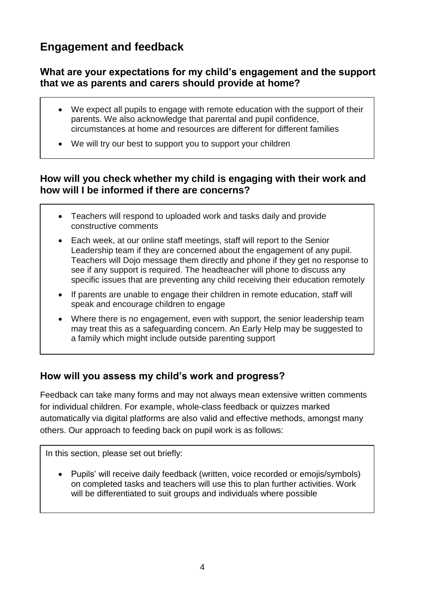# **Engagement and feedback**

## **What are your expectations for my child's engagement and the support that we as parents and carers should provide at home?**

- We expect all pupils to engage with remote education with the support of their parents. We also acknowledge that parental and pupil confidence, circumstances at home and resources are different for different families
- We will try our best to support you to support your children

## **How will you check whether my child is engaging with their work and how will I be informed if there are concerns?**

- Teachers will respond to uploaded work and tasks daily and provide constructive comments
- Each week, at our online staff meetings, staff will report to the Senior Leadership team if they are concerned about the engagement of any pupil. Teachers will Dojo message them directly and phone if they get no response to see if any support is required. The headteacher will phone to discuss any specific issues that are preventing any child receiving their education remotely
- If parents are unable to engage their children in remote education, staff will speak and encourage children to engage
- Where there is no engagement, even with support, the senior leadership team may treat this as a safeguarding concern. An Early Help may be suggested to a family which might include outside parenting support

## **How will you assess my child's work and progress?**

Feedback can take many forms and may not always mean extensive written comments for individual children. For example, whole-class feedback or quizzes marked automatically via digital platforms are also valid and effective methods, amongst many others. Our approach to feeding back on pupil work is as follows:

In this section, please set out briefly:

• Pupils' will receive daily feedback (written, voice recorded or emojis/symbols) on completed tasks and teachers will use this to plan further activities. Work will be differentiated to suit groups and individuals where possible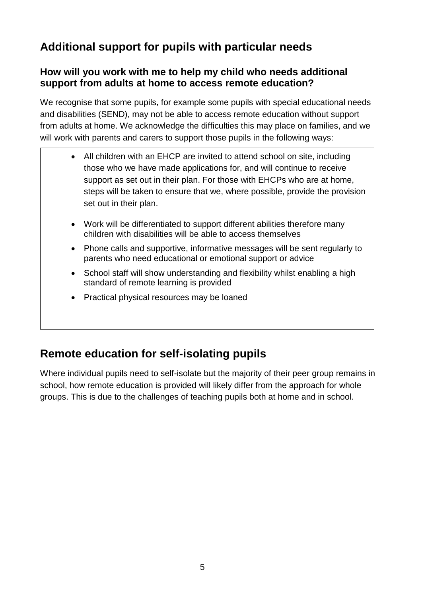# **Additional support for pupils with particular needs**

## **How will you work with me to help my child who needs additional support from adults at home to access remote education?**

We recognise that some pupils, for example some pupils with special educational needs and disabilities (SEND), may not be able to access remote education without support from adults at home. We acknowledge the difficulties this may place on families, and we will work with parents and carers to support those pupils in the following ways:

- All children with an EHCP are invited to attend school on site, including those who we have made applications for, and will continue to receive support as set out in their plan. For those with EHCPs who are at home, steps will be taken to ensure that we, where possible, provide the provision set out in their plan.
- Work will be differentiated to support different abilities therefore many children with disabilities will be able to access themselves
- Phone calls and supportive, informative messages will be sent regularly to parents who need educational or emotional support or advice
- School staff will show understanding and flexibility whilst enabling a high standard of remote learning is provided
- Practical physical resources may be loaned

# **Remote education for self-isolating pupils**

Where individual pupils need to self-isolate but the majority of their peer group remains in school, how remote education is provided will likely differ from the approach for whole groups. This is due to the challenges of teaching pupils both at home and in school.